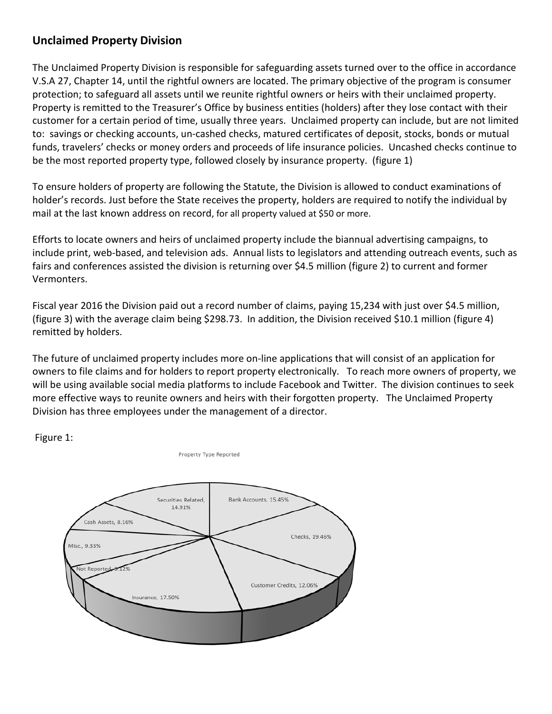## **Unclaimed Property Division**

The Unclaimed Property Division is responsible for safeguarding assets turned over to the office in accordance V.S.A 27, Chapter 14, until the rightful owners are located. The primary objective of the program is consumer protection; to safeguard all assets until we reunite rightful owners or heirs with their unclaimed property. Property is remitted to the Treasurer's Office by business entities (holders) after they lose contact with their customer for a certain period of time, usually three years. Unclaimed property can include, but are not limited to: savings or checking accounts, un-cashed checks, matured certificates of deposit, stocks, bonds or mutual funds, travelers' checks or money orders and proceeds of life insurance policies. Uncashed checks continue to be the most reported property type, followed closely by insurance property. (figure 1)

To ensure holders of property are following the Statute, the Division is allowed to conduct examinations of holder's records. Just before the State receives the property, holders are required to notify the individual by mail at the last known address on record, for all property valued at \$50 or more.

Efforts to locate owners and heirs of unclaimed property include the biannual advertising campaigns, to include print, web-based, and television ads. Annual lists to legislators and attending outreach events, such as fairs and conferences assisted the division is returning over \$4.5 million (figure 2) to current and former Vermonters.

Fiscal year 2016 the Division paid out a record number of claims, paying 15,234 with just over \$4.5 million, (figure 3) with the average claim being \$298.73. In addition, the Division received \$10.1 million (figure 4) remitted by holders.

The future of unclaimed property includes more on-line applications that will consist of an application for owners to file claims and for holders to report property electronically. To reach more owners of property, we will be using available social media platforms to include Facebook and Twitter. The division continues to seek more effective ways to reunite owners and heirs with their forgotten property. The Unclaimed Property Division has three employees under the management of a director.

Figure 1:



Property Type Reported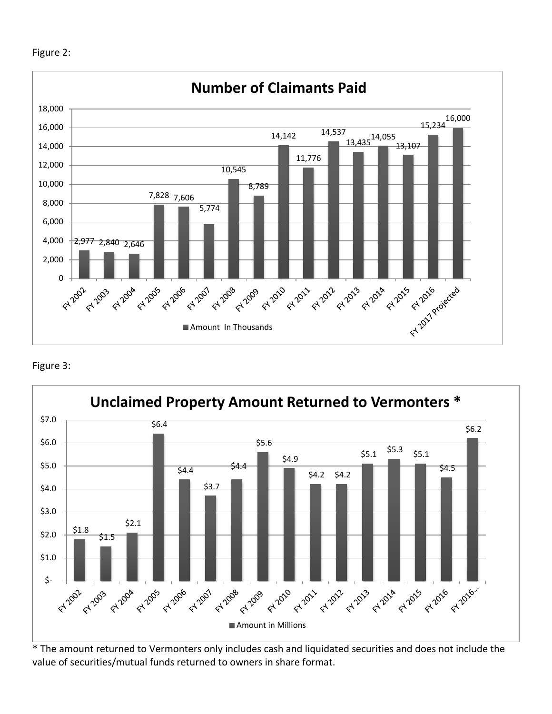



## Figure 3:



\* The amount returned to Vermonters only includes cash and liquidated securities and does not include the value of securities/mutual funds returned to owners in share format.